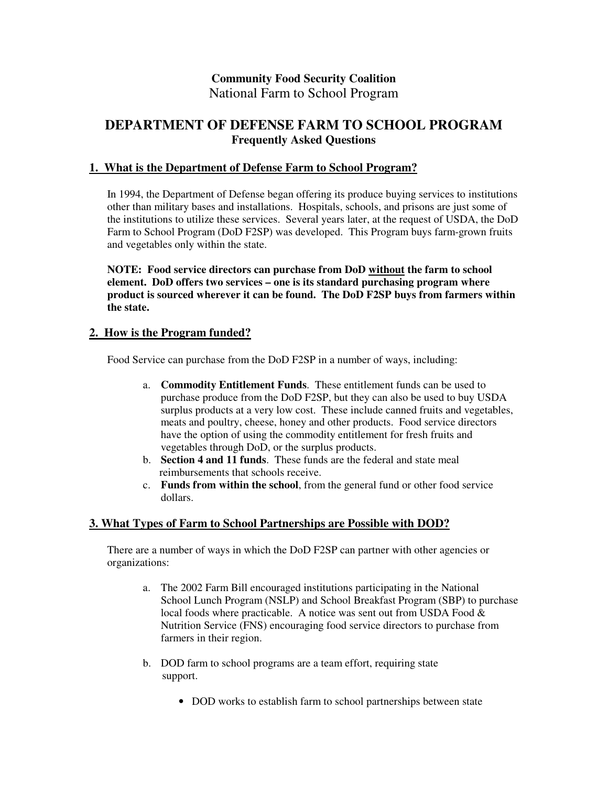# **Community Food Security Coalition** National Farm to School Program

# **DEPARTMENT OF DEFENSE FARM TO SCHOOL PROGRAM Frequently Asked Questions**

## **1. What is the Department of Defense Farm to School Program?**

In 1994, the Department of Defense began offering its produce buying services to institutions other than military bases and installations. Hospitals, schools, and prisons are just some of the institutions to utilize these services. Several years later, at the request of USDA, the DoD Farm to School Program (DoD F2SP) was developed. This Program buys farm-grown fruits and vegetables only within the state.

**NOTE: Food service directors can purchase from DoD without the farm to school element. DoD offers two services – one is its standard purchasing program where product is sourced wherever it can be found. The DoD F2SP buys from farmers within the state.**

#### **2. How is the Program funded?**

Food Service can purchase from the DoD F2SP in a number of ways, including:

- a. **Commodity Entitlement Funds**. These entitlement funds can be used to purchase produce from the DoD F2SP, but they can also be used to buy USDA surplus products at a very low cost. These include canned fruits and vegetables, meats and poultry, cheese, honey and other products. Food service directors have the option of using the commodity entitlement for fresh fruits and vegetables through DoD, or the surplus products.
- b. **Section 4 and 11 funds**. These funds are the federal and state meal reimbursements that schools receive.
- c. **Funds from within the school**, from the general fund or other food service dollars.

### **3. What Types of Farm to School Partnerships are Possible with DOD?**

There are a number of ways in which the DoD F2SP can partner with other agencies or organizations:

- a. The 2002 Farm Bill encouraged institutions participating in the National School Lunch Program (NSLP) and School Breakfast Program (SBP) to purchase local foods where practicable. A notice was sent out from USDA Food  $\&$ Nutrition Service (FNS) encouraging food service directors to purchase from farmers in their region.
- b. DOD farm to school programs are a team effort, requiring state support.
	- DOD works to establish farm to school partnerships between state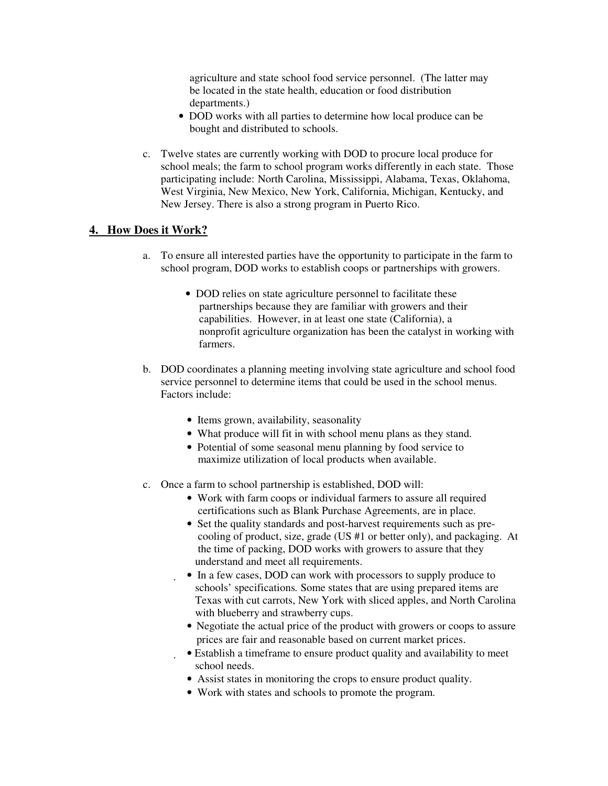agriculture and state school food service personnel. (The latter may be located in the state health, education or food distribution departments.)

- DOD works with all parties to determine how local produce can be bought and distributed to schools.
- c. Twelve states are currently working with DOD to procure local produce for school meals; the farm to school program works differently in each state. Those participating include: North Carolina, Mississippi, Alabama, Texas, Oklahoma, West Virginia, New Mexico, New York, California, Michigan, Kentucky, and New Jersey. There is also a strong program in Puerto Rico.

## **4. How Does it Work?**

- a. To ensure all interested parties have the opportunity to participate in the farm to school program, DOD works to establish coops or partnerships with growers.
	- DOD relies on state agriculture personnel to facilitate these partnerships because they are familiar with growers and their capabilities. However, in at least one state (California), a nonprofit agriculture organization has been the catalyst in working with farmers.
- b. DOD coordinates a planning meeting involving state agriculture and school food service personnel to determine items that could be used in the school menus. Factors include:
	- Items grown, availability, seasonality
	- What produce will fit in with school menu plans as they stand.
	- Potential of some seasonal menu planning by food service to maximize utilization of local products when available.
- c. Once a farm to school partnership is established, DOD will:
	- Work with farm coops or individual farmers to assure all required certifications such as Blank Purchase Agreements, are in place.
	- Set the quality standards and post-harvest requirements such as precooling of product, size, grade (US #1 or better only), and packaging. At the time of packing, DOD works with growers to assure that they understand and meet all requirements.
	- In a few cases, DOD can work with processors to supply produce to schools' specifications*.* Some states that are using prepared items are Texas with cut carrots, New York with sliced apples, and North Carolina with blueberry and strawberry cups.
	- Negotiate the actual price of the product with growers or coops to assure prices are fair and reasonable based on current market prices.
	- Establish a timeframe to ensure product quality and availability to meet school needs.
	- Assist states in monitoring the crops to ensure product quality.
	- Work with states and schools to promote the program.